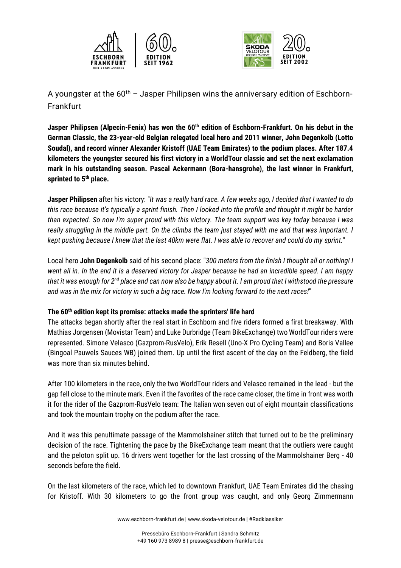



A youngster at the  $60<sup>th</sup>$  – Jasper Philipsen wins the anniversary edition of Eschborn-**Frankfurt** 

**Jasper Philipsen (Alpecin-Fenix) has won the 60th edition of Eschborn-Frankfurt. On his debut in the German Classic, the 23-year-old Belgian relegated local hero and 2011 winner, John Degenkolb (Lotto Soudal), and record winner Alexander Kristoff (UAE Team Emirates) to the podium places. After 187.4 kilometers the youngster secured his first victory in a WorldTour classic and set the next exclamation mark in his outstanding season. Pascal Ackermann (Bora-hansgrohe), the last winner in Frankfurt, sprinted to 5th place.**

**Jasper Philipsen** after his victory: "*It was a really hard race. A few weeks ago, I decided that I wanted to do this race because it's typically a sprint finish. Then I looked into the profile and thought it might be harder than expected. So now I'm super proud with this victory. The team support was key today because I was really struggling in the middle part. On the climbs the team just stayed with me and that was important. I kept pushing because I knew that the last 40km were flat. I was able to recover and could do my sprint.*"

Local hero **John Degenkolb** said of his second place: "*300 meters from the finish I thought all or nothing! I went all in. In the end it is a deserved victory for Jasper because he had an incredible speed. I am happy that it was enough for 2nd place and can now also be happy about it. I am proud that I withstood the pressure and was in the mix for victory in such a big race. Now I'm looking forward to the next races!*"

## **The 60th edition kept its promise: attacks made the sprinters' life hard**

The attacks began shortly after the real start in Eschborn and five riders formed a first breakaway. With Mathias Jorgensen (Movistar Team) and Luke Durbridge (Team BikeExchange) two WorldTour riders were represented. Simone Velasco (Gazprom-RusVelo), Erik Resell (Uno-X Pro Cycling Team) and Boris Vallee (Bingoal Pauwels Sauces WB) joined them. Up until the first ascent of the day on the Feldberg, the field was more than six minutes behind.

After 100 kilometers in the race, only the two WorldTour riders and Velasco remained in the lead - but the gap fell close to the minute mark. Even if the favorites of the race came closer, the time in front was worth it for the rider of the Gazprom-RusVelo team: The Italian won seven out of eight mountain classifications and took the mountain trophy on the podium after the race.

And it was this penultimate passage of the Mammolshainer stitch that turned out to be the preliminary decision of the race. Tightening the pace by the BikeExchange team meant that the outliers were caught and the peloton split up. 16 drivers went together for the last crossing of the Mammolshainer Berg - 40 seconds before the field.

On the last kilometers of the race, which led to downtown Frankfurt, UAE Team Emirates did the chasing for Kristoff. With 30 kilometers to go the front group was caught, and only Georg Zimmermann

www.eschborn-frankfurt.de | www.skoda-velotour.de | #Radklassiker